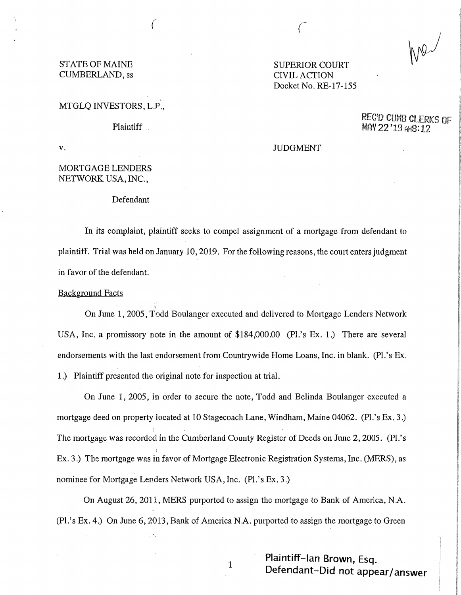## STATE OF MAINE SUPERIOR COURT CUMBERLAND, ss CIVIL ACTION

Docket No. RE-17-155

### MTGLQ INVESTORS, L.P.,

Plaintiff

# $REC'D$  CUMB CLERKS OF MAY 22'19 AM8:12

*~)* 

JUDGMENT

#### **V.**

# MORTGAGE LENDERS NETWORK USA, INC.,

#### Defendant

In its complaint, plaintiff seeks to compel assignment of a mortgage from defendant to plaintiff. Trial was held on January 10, 2019. For the following reasons, the court enters judgment in favor of the defendant.

*( (* 

Background Facts

On June 1, 2005, Todd Boulanger executed and delivered to Mortgage Lenders Network USA, Inc. a promissory note in the amount of \$184,000.00 (Pl.'s Ex. 1.) There are several endorsements with the last endorsement from Countrywide Home Loans, Inc. in blank. (Pl.'s Ex. 1.) Plaintiff presented the original note for inspection at trial.

On June 1, 2005, in order to secure the note, Todd and Belinda Boulanger executed a mortgage deed on property located at 10 Stagecoach Lane, Windham, Maine 04062. (Pl.'s Ex. 3 .) .. The mortgage was recorded in the Cumberland County Register of Deeds on June 2, 2005. (Pl.'s Ex. 3 .) The mortgage was in favor of Mortgage Electronic Registration Systems, Inc. (MERS), as nominee for Mortgage Lenders Network USA, Inc. (Pl.'s Ex. 3.)

On August 26, 2011, MERS purported to assign the mortgage to Bank of America, N.A. (Pl.'s Ex. 4.) On June 6, 2013, Bank of America N.A. purported to assign the mortgage to Green

# **Plaintiff-Ian Brown, Esq.** <sup>1</sup>**Defendant-Did not appear/answer**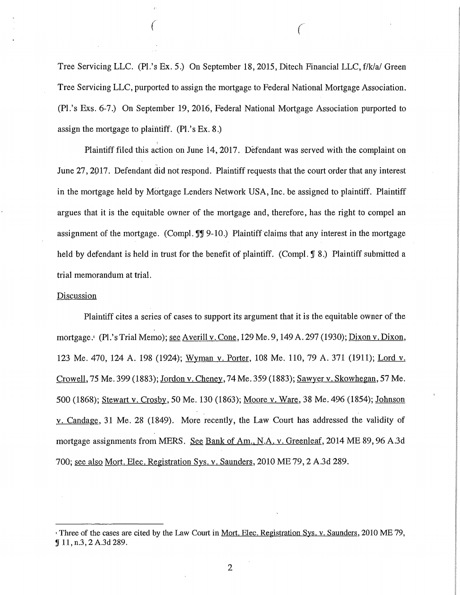Tree Servicing LLC. (Pl.'s Ex. 5.) On September 18, 2015, Ditech Financial LLC, f/k/a/ Green Tree Servicing LLC, purported to assign the mortgage to Federal National Mortgage Association. (Pl.'s Exs. 6-7.) On September 19, 2016, Federal National Mortgage Association purported to assign the mortgage to plaintiff. (Pl.'s Ex. 8.)

*( (* 

Plaintiff filed this action on June 14, 2017. Defendant was served with the complaint on June 27, 2017. Defendant did not respond. Plaintiff requests that the court order that any interest in the mmtgage held by Mortgage Lenders Network USA, Inc. be assigned to plaintiff. Plaintiff argues that it is the equitable owner of the mortgage and, therefore, has the right to compel an assignment of the mortgage. (Compl.  $\mathbb{J}$  9-10.) Plaintiff claims that any interest in the mortgage held by defendant is held in trust for the benefit of plaintiff. (Compl. J 8.) Plaintiff submitted a trial memorandum at trial.

#### Discussion

Plaintiff cites a series of cases to support its argument that it is the equitable owner of the mortgage.' (Pl.'s Trial Memo); <u>see Averill v. Cone</u>, 129 Me. 9, 149 A. 297 (1930); Dixon v. Dixon, 123 Me. 470, 124 A. 198 (1924); Wyman v. Porter, 108 Me. 110, 79 A. 371 (1911); Lord v. Crowell, 75 Me. 399 (1883); Jordon v. Cheney, 74 Me. 359 (1883); Sawyer v. Skowhegan, 57 Me. 500 (1868); Stewart v. Crosby, 50 Me. 130 (1863); Moore v. Ware, 38 Me. 496 (1854); Johnson v. Candage, 31 Me. 28 (1849). More recently, the Law Court has addressed the validity of mortgage assignments from MERS. See Bank of Am., N.A. v. Greenleaf, 2014 ME 89, 96 A.3d 700; see also Mort. Blee. Registration Sys. v. Saunders, 2010 ME 79, 2 A.3d 289.

2

Three of the cases are cited by the Law Court in Mort. Elec. Registration Sys. v. Saunders, 2010 ME 79, ! 11, n.3, 2 A.3d 289.